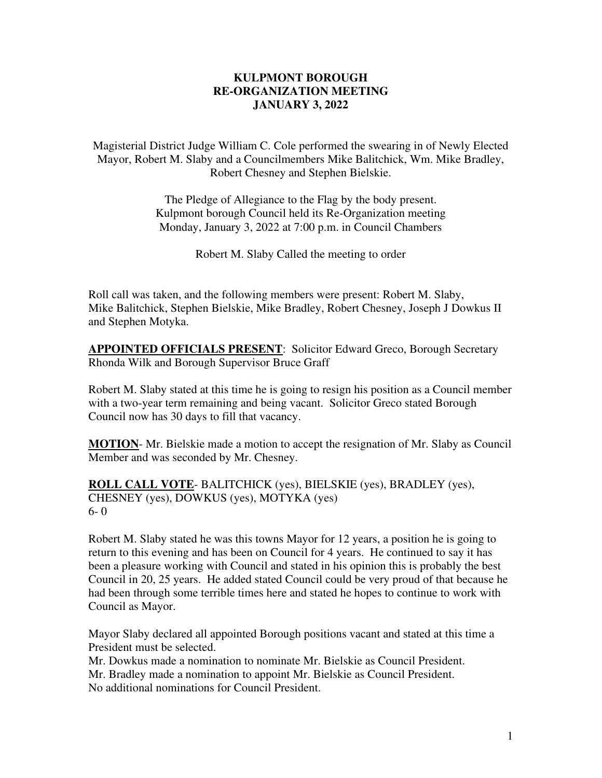#### **KULPMONT BOROUGH RE-ORGANIZATION MEETING JANUARY 3, 2022**

Magisterial District Judge William C. Cole performed the swearing in of Newly Elected Mayor, Robert M. Slaby and a Councilmembers Mike Balitchick, Wm. Mike Bradley, Robert Chesney and Stephen Bielskie.

> The Pledge of Allegiance to the Flag by the body present. Kulpmont borough Council held its Re-Organization meeting Monday, January 3, 2022 at 7:00 p.m. in Council Chambers

> > Robert M. Slaby Called the meeting to order

Roll call was taken, and the following members were present: Robert M. Slaby, Mike Balitchick, Stephen Bielskie, Mike Bradley, Robert Chesney, Joseph J Dowkus II and Stephen Motyka.

**APPOINTED OFFICIALS PRESENT**: Solicitor Edward Greco, Borough Secretary Rhonda Wilk and Borough Supervisor Bruce Graff

Robert M. Slaby stated at this time he is going to resign his position as a Council member with a two-year term remaining and being vacant. Solicitor Greco stated Borough Council now has 30 days to fill that vacancy.

**MOTION**- Mr. Bielskie made a motion to accept the resignation of Mr. Slaby as Council Member and was seconded by Mr. Chesney.

**ROLL CALL VOTE**- BALITCHICK (yes), BIELSKIE (yes), BRADLEY (yes), CHESNEY (yes), DOWKUS (yes), MOTYKA (yes) 6- 0

Robert M. Slaby stated he was this towns Mayor for 12 years, a position he is going to return to this evening and has been on Council for 4 years. He continued to say it has been a pleasure working with Council and stated in his opinion this is probably the best Council in 20, 25 years. He added stated Council could be very proud of that because he had been through some terrible times here and stated he hopes to continue to work with Council as Mayor.

Mayor Slaby declared all appointed Borough positions vacant and stated at this time a President must be selected.

Mr. Dowkus made a nomination to nominate Mr. Bielskie as Council President. Mr. Bradley made a nomination to appoint Mr. Bielskie as Council President. No additional nominations for Council President.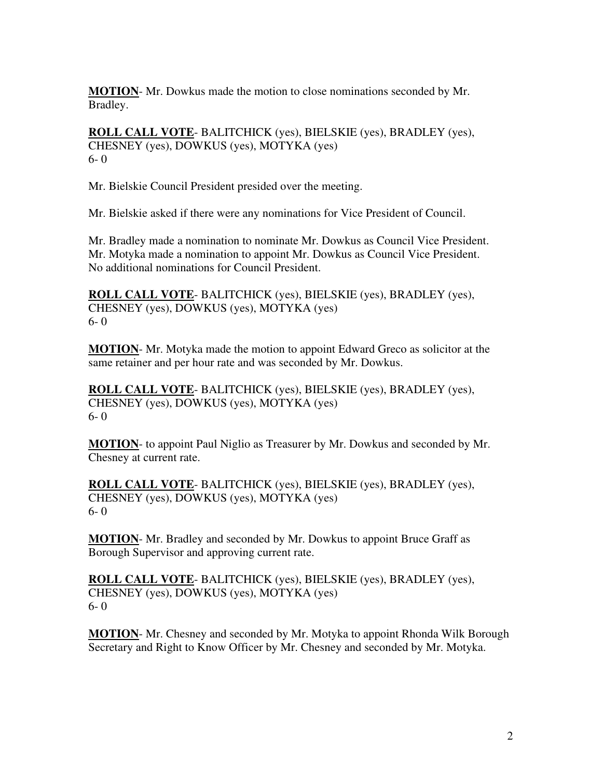**MOTION**- Mr. Dowkus made the motion to close nominations seconded by Mr. Bradley.

**ROLL CALL VOTE**- BALITCHICK (yes), BIELSKIE (yes), BRADLEY (yes), CHESNEY (yes), DOWKUS (yes), MOTYKA (yes) 6- 0

Mr. Bielskie Council President presided over the meeting.

Mr. Bielskie asked if there were any nominations for Vice President of Council.

Mr. Bradley made a nomination to nominate Mr. Dowkus as Council Vice President. Mr. Motyka made a nomination to appoint Mr. Dowkus as Council Vice President. No additional nominations for Council President.

**ROLL CALL VOTE**- BALITCHICK (yes), BIELSKIE (yes), BRADLEY (yes), CHESNEY (yes), DOWKUS (yes), MOTYKA (yes) 6- 0

**MOTION**- Mr. Motyka made the motion to appoint Edward Greco as solicitor at the same retainer and per hour rate and was seconded by Mr. Dowkus.

**ROLL CALL VOTE**- BALITCHICK (yes), BIELSKIE (yes), BRADLEY (yes), CHESNEY (yes), DOWKUS (yes), MOTYKA (yes) 6- 0

**MOTION**- to appoint Paul Niglio as Treasurer by Mr. Dowkus and seconded by Mr. Chesney at current rate.

**ROLL CALL VOTE**- BALITCHICK (yes), BIELSKIE (yes), BRADLEY (yes), CHESNEY (yes), DOWKUS (yes), MOTYKA (yes) 6- 0

**MOTION**- Mr. Bradley and seconded by Mr. Dowkus to appoint Bruce Graff as Borough Supervisor and approving current rate.

**ROLL CALL VOTE**- BALITCHICK (yes), BIELSKIE (yes), BRADLEY (yes), CHESNEY (yes), DOWKUS (yes), MOTYKA (yes) 6- 0

**MOTION**- Mr. Chesney and seconded by Mr. Motyka to appoint Rhonda Wilk Borough Secretary and Right to Know Officer by Mr. Chesney and seconded by Mr. Motyka.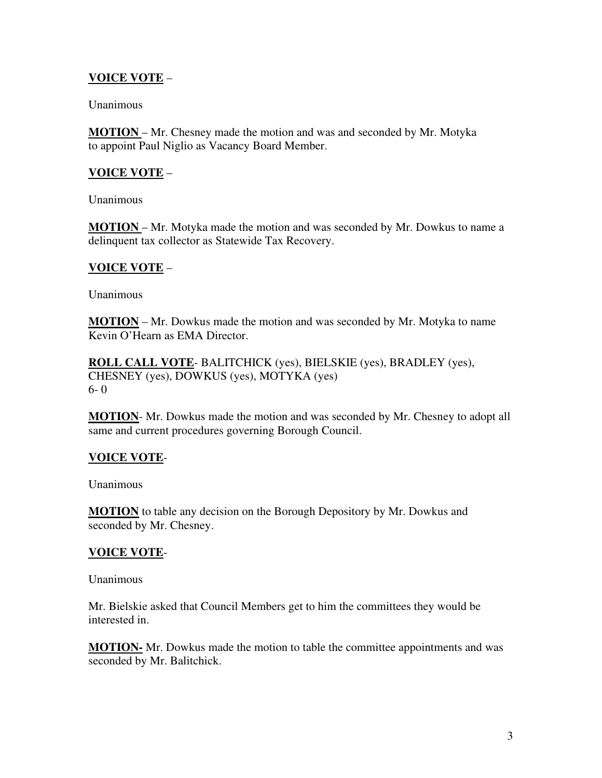# **VOICE VOTE** –

#### Unanimous

**MOTION** – Mr. Chesney made the motion and was and seconded by Mr. Motyka to appoint Paul Niglio as Vacancy Board Member.

# **VOICE VOTE** –

Unanimous

**MOTION** – Mr. Motyka made the motion and was seconded by Mr. Dowkus to name a delinquent tax collector as Statewide Tax Recovery.

## **VOICE VOTE** –

**Unanimous** 

**MOTION** – Mr. Dowkus made the motion and was seconded by Mr. Motyka to name Kevin O'Hearn as EMA Director.

**ROLL CALL VOTE**- BALITCHICK (yes), BIELSKIE (yes), BRADLEY (yes), CHESNEY (yes), DOWKUS (yes), MOTYKA (yes) 6- 0

**MOTION**- Mr. Dowkus made the motion and was seconded by Mr. Chesney to adopt all same and current procedures governing Borough Council.

## **VOICE VOTE**-

Unanimous

**MOTION** to table any decision on the Borough Depository by Mr. Dowkus and seconded by Mr. Chesney.

## **VOICE VOTE**-

Unanimous

Mr. Bielskie asked that Council Members get to him the committees they would be interested in.

**MOTION-** Mr. Dowkus made the motion to table the committee appointments and was seconded by Mr. Balitchick.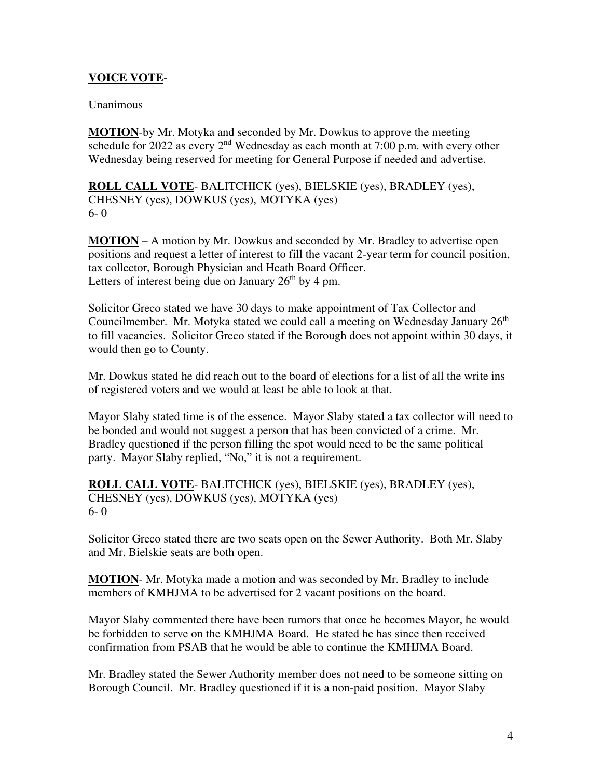#### **VOICE VOTE**-

#### Unanimous

**MOTION**-by Mr. Motyka and seconded by Mr. Dowkus to approve the meeting schedule for 2022 as every  $2<sup>nd</sup>$  Wednesday as each month at 7:00 p.m. with every other Wednesday being reserved for meeting for General Purpose if needed and advertise.

**ROLL CALL VOTE**- BALITCHICK (yes), BIELSKIE (yes), BRADLEY (yes), CHESNEY (yes), DOWKUS (yes), MOTYKA (yes) 6- 0

**MOTION** – A motion by Mr. Dowkus and seconded by Mr. Bradley to advertise open positions and request a letter of interest to fill the vacant 2-year term for council position, tax collector, Borough Physician and Heath Board Officer. Letters of interest being due on January  $26<sup>th</sup>$  by 4 pm.

Solicitor Greco stated we have 30 days to make appointment of Tax Collector and Councilmember. Mr. Motyka stated we could call a meeting on Wednesday January  $26<sup>th</sup>$ to fill vacancies. Solicitor Greco stated if the Borough does not appoint within 30 days, it would then go to County.

Mr. Dowkus stated he did reach out to the board of elections for a list of all the write ins of registered voters and we would at least be able to look at that.

Mayor Slaby stated time is of the essence. Mayor Slaby stated a tax collector will need to be bonded and would not suggest a person that has been convicted of a crime. Mr. Bradley questioned if the person filling the spot would need to be the same political party. Mayor Slaby replied, "No," it is not a requirement.

**ROLL CALL VOTE**- BALITCHICK (yes), BIELSKIE (yes), BRADLEY (yes), CHESNEY (yes), DOWKUS (yes), MOTYKA (yes) 6- 0

Solicitor Greco stated there are two seats open on the Sewer Authority. Both Mr. Slaby and Mr. Bielskie seats are both open.

**MOTION**- Mr. Motyka made a motion and was seconded by Mr. Bradley to include members of KMHJMA to be advertised for 2 vacant positions on the board.

Mayor Slaby commented there have been rumors that once he becomes Mayor, he would be forbidden to serve on the KMHJMA Board. He stated he has since then received confirmation from PSAB that he would be able to continue the KMHJMA Board.

Mr. Bradley stated the Sewer Authority member does not need to be someone sitting on Borough Council. Mr. Bradley questioned if it is a non-paid position. Mayor Slaby